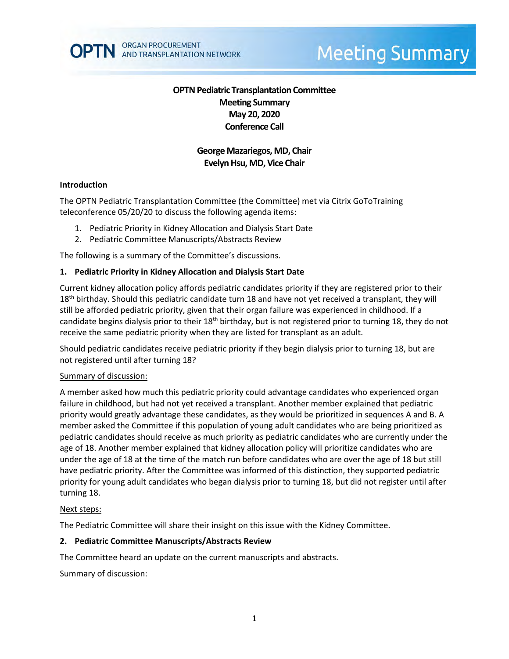

# **Meeting Summary**

# **OPTN Pediatric Transplantation Committee Meeting Summary May 20, 2020 Conference Call**

# **George Mazariegos, MD, Chair Evelyn Hsu, MD, Vice Chair**

#### **Introduction**

The OPTN Pediatric Transplantation Committee (the Committee) met via Citrix GoToTraining teleconference 05/20/20 to discuss the following agenda items:

- 1. Pediatric Priority in Kidney Allocation and Dialysis Start Date
- 2. Pediatric Committee Manuscripts/Abstracts Review

The following is a summary of the Committee's discussions.

#### **1. Pediatric Priority in Kidney Allocation and Dialysis Start Date**

Current kidney allocation policy affords pediatric candidates priority if they are registered prior to their 18<sup>th</sup> birthday. Should this pediatric candidate turn 18 and have not yet received a transplant, they will still be afforded pediatric priority, given that their organ failure was experienced in childhood. If a candidate begins dialysis prior to their 18<sup>th</sup> birthday, but is not registered prior to turning 18, they do not receive the same pediatric priority when they are listed for transplant as an adult.

Should pediatric candidates receive pediatric priority if they begin dialysis prior to turning 18, but are not registered until after turning 18?

#### Summary of discussion:

A member asked how much this pediatric priority could advantage candidates who experienced organ failure in childhood, but had not yet received a transplant. Another member explained that pediatric priority would greatly advantage these candidates, as they would be prioritized in sequences A and B. A member asked the Committee if this population of young adult candidates who are being prioritized as pediatric candidates should receive as much priority as pediatric candidates who are currently under the age of 18. Another member explained that kidney allocation policy will prioritize candidates who are under the age of 18 at the time of the match run before candidates who are over the age of 18 but still have pediatric priority. After the Committee was informed of this distinction, they supported pediatric priority for young adult candidates who began dialysis prior to turning 18, but did not register until after turning 18.

#### Next steps:

The Pediatric Committee will share their insight on this issue with the Kidney Committee.

#### **2. Pediatric Committee Manuscripts/Abstracts Review**

The Committee heard an update on the current manuscripts and abstracts.

#### Summary of discussion: